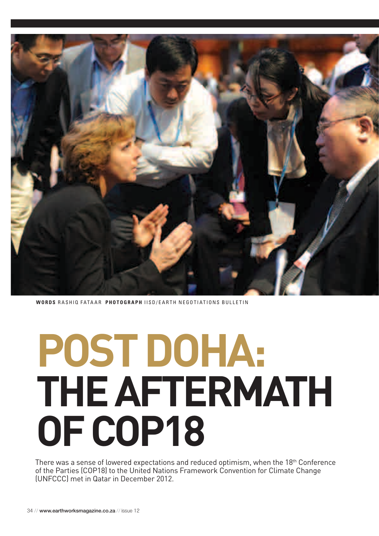

**WORDS RASHIQ FATAAR PHOTOGRAPH IISD/EARTH NEGOTIATIONS BULLETIN** 

# POST DOHA: THE AFTERMATH OF COP18

There was a sense of lowered expectations and reduced optimism, when the 18<sup>th</sup> Conference of the Parties (COP18) to the United Nations Framework Convention for Climate Change (UNFCCC) met in Oatar in December 2012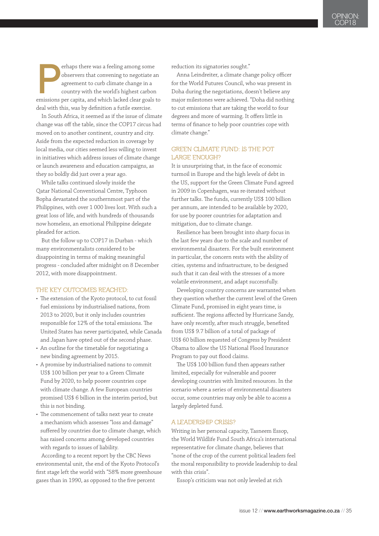erhaps there was a feeling among some observers that convening to negotiate a agreement to curb climate change in a country with the world's highest carbon emissions per capita, and which lacked clear goals observers that convening to negotiate an agreement to curb climate change in a country with the world's highest carbon emissions per capita, and which lacked clear goals to deal with this, was by definition a futile exercise.

In South Africa, it seemed as if the issue of climate change was off the table, since the COP17 circus had moved on to another continent, country and city. Aside from the expected reduction in coverage by local media, our cities seemed less willing to invest in initiatives which address issues of climate change or launch awareness and education campaigns, as they so boldly did just over a year ago.

While talks continued slowly inside the Qatar National Conventional Centre, Typhoon Bopha devastated the southernmost part of the Philippines, with over 1 000 lives lost. With such a great loss of life, and with hundreds of thousands now homeless, an emotional Philippine delegate pleaded for action.

But the follow up to COP17 in Durban - which many environmentalists considered to be disappointing in terms of making meaningful progress - concluded after midnight on 8 December 2012, with more disappointment.

## **The key outcomes reached:**

- The extension of the Kyoto protocol, to cut fossil fuel emissions by industrialised nations, from 2013 to 2020, but it only includes countries responsible for 12% of the total emissions. The United States has never participated, while Canada and Japan have opted out of the second phase.
- An outline for the timetable for negotiating a new binding agreement by 2015.
- A promise by industrialised nations to commit US\$ 100 billion per year to a Green Climate Fund by 2020, to help poorer countries cope with climate change. A few European countries promised US\$ 6 billion in the interim period, but this is not binding.
- The commencement of talks next year to create a mechanism which assesses "loss and damage" suffered by countries due to climate change, which has raised concerns among developed countries with regards to issues of liability.

According to a recent report by the CBC News environmental unit, the end of the Kyoto Protocol's first stage left the world with "58% more greenhouse gases than in 1990, as opposed to the five percent

reduction its signatories sought."

Anna Leindreiter, a climate change policy officer for the World Futures Council, who was present in Doha during the negotiations, doesn't believe any major milestones were achieved. "Doha did nothing to cut emissions that are taking the world to four degrees and more of warming. It offers little in terms of finance to help poor countries cope with climate change."

# **GREEN CLIMATE FUND: IS THE POT LARGE ENOUGH?**

It is unsurprising that, in the face of economic turmoil in Europe and the high levels of debt in the US, support for the Green Climate Fund agreed in 2009 in Copenhagen, was re-iterated without further talks. The funds, currently US\$ 100 billion per annum, are intended to be available by 2020, for use by poorer countries for adaptation and mitigation, due to climate change.

Resilience has been brought into sharp focus in the last few years due to the scale and number of environmental disasters. For the built environment in particular, the concern rests with the ability of cities, systems and infrastructure, to be designed such that it can deal with the stresses of a more volatile environment, and adapt successfully.

Developing country concerns are warranted when they question whether the current level of the Green Climate Fund, promised in eight years time, is sufficient. The regions affected by Hurricane Sandy, have only recently, after much struggle, benefited from US\$ 9.7 billion of a total of package of US\$ 60 billion requested of Congress by President Obama to allow the US National Flood Insurance Program to pay out flood claims.

The US\$ 100 billion fund then appears rather limited, especially for vulnerable and poorer developing countries with limited resources. In the scenario where a series of environmental disasters occur, some countries may only be able to access a largely depleted fund.

### **A LEADERSHIP CRISIS?**

Writing in her personal capacity, Tasneem Essop, the World Wildlife Fund South Africa's international representative for climate change, believes that "none of the crop of the current political leaders feel the moral responsibility to provide leadership to deal with this crisis".

Essop's criticism was not only leveled at rich